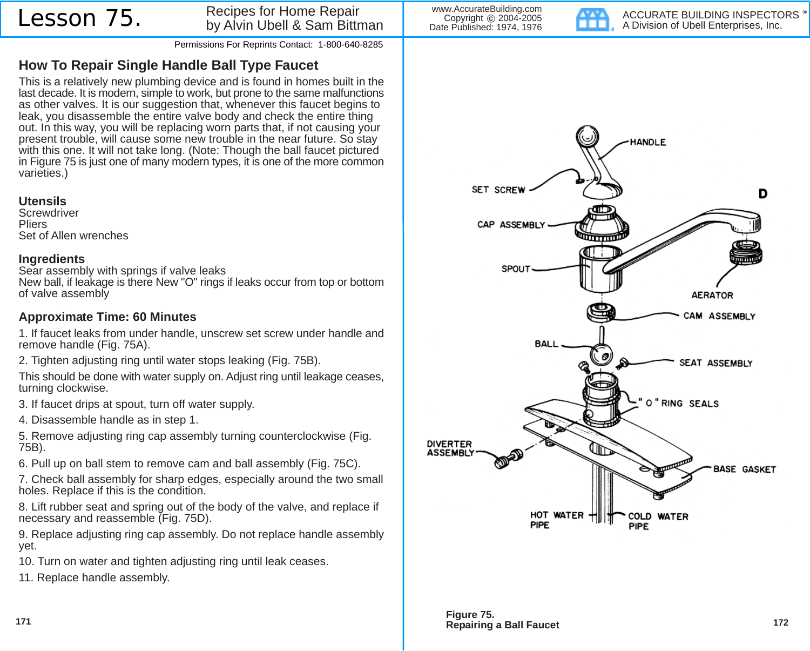### Lesson 75. Recipes for Home Repair by Alvin Ubell & Sam Bittman

Permissions For Reprints Contact: 1-800-640-8285

# **How To Repair Single Handle Ball Type Faucet**

This is a relatively new plumbing device and is found in homes built in the last decade. It is modern, simple to work, but prone to the same malfunctions as other valves. It is our suggestion that, whenever this faucet begins to leak, you disassemble the entire valve body and check the entire thing out. In this way, you will be replacing worn parts that, if not causing your present trouble, will cause some new trouble in the near future. So stay with this one. It will not take long. (Note: Though the ball faucet pictured in Figure 75 is just one of many modern types, it is one of the more common varieties.)

#### **Utensils**

**Screwdriver Pliers** Set of Allen wrenches

#### **Ingredients**

Sear assembly with springs if valve leaks New ball, if leakage is there New "O" rings if leaks occur from top or bottom of valve assembly

## **Approximate Time: 60 Minutes**

1. If faucet leaks from under handle, unscrew set screw under handle and remove handle (Fig. 75A).

2. Tighten adjusting ring until water stops leaking (Fig. 75B).

This should be done with water supply on. Adjust ring until leakage ceases, turning clockwise.

3. If faucet drips at spout, turn off water supply.

4. Disassemble handle as in step 1.

5. Remove adjusting ring cap assembly turning counterclockwise (Fig. 75B).

6. Pull up on ball stem to remove cam and ball assembly (Fig. 75C).

7. Check ball assembly for sharp edges, especially around the two small holes. Replace if this is the condition.

8. Lift rubber seat and spring out of the body of the valve, and replace if necessary and reassemble (Fig. 75D).

9. Replace adjusting ring cap assembly. Do not replace handle assembly yet.

10. Turn on water and tighten adjusting ring until leak ceases.

11. Replace handle assembly.

www.AccurateBuilding.com Copyright © 2004-2005 Date Published: 1974, 1976

ACCURATE BUILDING INSPECTORS **HEL** A Division of Ubell Enterprises, Inc.